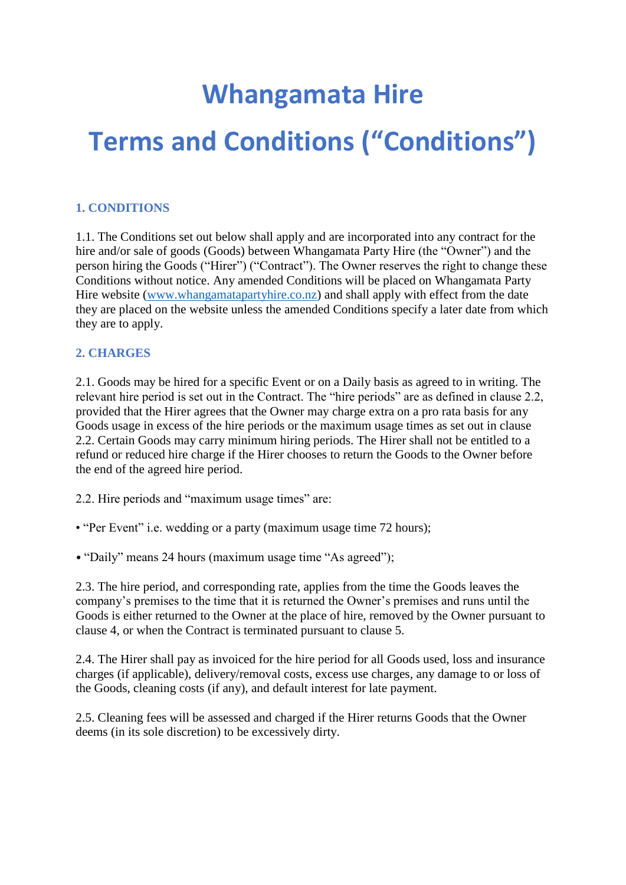# **Whangamata Hire Terms and Conditions ("Conditions")**

# **1. CONDITIONS**

1.1. The Conditions set out below shall apply and are incorporated into any contract for the hire and/or sale of goods (Goods) between Whangamata Party Hire (the "Owner") and the person hiring the Goods ("Hirer") ("Contract"). The Owner reserves the right to change these Conditions without notice. Any amended Conditions will be placed on Whangamata Party Hire website [\(www.whangamatapartyhire.co.nz\)](http://www.whangamatapartyhire.co.nz/) and shall apply with effect from the date they are placed on the website unless the amended Conditions specify a later date from which they are to apply.

### **2. CHARGES**

2.1. Goods may be hired for a specific Event or on a Daily basis as agreed to in writing. The relevant hire period is set out in the Contract. The "hire periods" are as defined in clause 2.2, provided that the Hirer agrees that the Owner may charge extra on a pro rata basis for any Goods usage in excess of the hire periods or the maximum usage times as set out in clause 2.2. Certain Goods may carry minimum hiring periods. The Hirer shall not be entitled to a refund or reduced hire charge if the Hirer chooses to return the Goods to the Owner before the end of the agreed hire period.

2.2. Hire periods and "maximum usage times" are:

• "Per Event" i.e. wedding or a party (maximum usage time 72 hours);

• "Daily" means 24 hours (maximum usage time "As agreed");

2.3. The hire period, and corresponding rate, applies from the time the Goods leaves the company's premises to the time that it is returned the Owner's premises and runs until the Goods is either returned to the Owner at the place of hire, removed by the Owner pursuant to clause 4, or when the Contract is terminated pursuant to clause 5.

2.4. The Hirer shall pay as invoiced for the hire period for all Goods used, loss and insurance charges (if applicable), delivery/removal costs, excess use charges, any damage to or loss of the Goods, cleaning costs (if any), and default interest for late payment.

2.5. Cleaning fees will be assessed and charged if the Hirer returns Goods that the Owner deems (in its sole discretion) to be excessively dirty.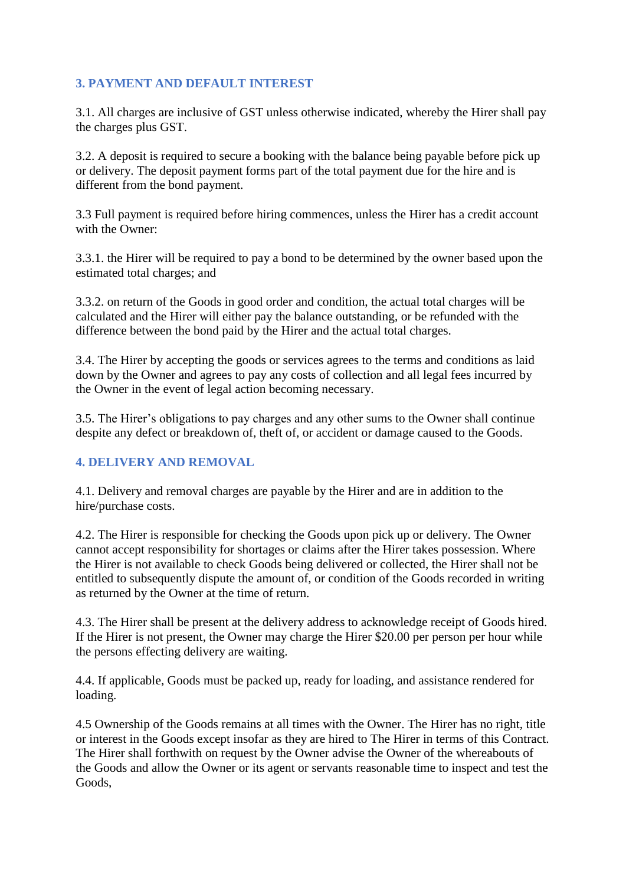# **3. PAYMENT AND DEFAULT INTEREST**

3.1. All charges are inclusive of GST unless otherwise indicated, whereby the Hirer shall pay the charges plus GST.

3.2. A deposit is required to secure a booking with the balance being payable before pick up or delivery. The deposit payment forms part of the total payment due for the hire and is different from the bond payment.

3.3 Full payment is required before hiring commences, unless the Hirer has a credit account with the Owner:

3.3.1. the Hirer will be required to pay a bond to be determined by the owner based upon the estimated total charges; and

3.3.2. on return of the Goods in good order and condition, the actual total charges will be calculated and the Hirer will either pay the balance outstanding, or be refunded with the difference between the bond paid by the Hirer and the actual total charges.

3.4. The Hirer by accepting the goods or services agrees to the terms and conditions as laid down by the Owner and agrees to pay any costs of collection and all legal fees incurred by the Owner in the event of legal action becoming necessary.

3.5. The Hirer's obligations to pay charges and any other sums to the Owner shall continue despite any defect or breakdown of, theft of, or accident or damage caused to the Goods.

# **4. DELIVERY AND REMOVAL**

4.1. Delivery and removal charges are payable by the Hirer and are in addition to the hire/purchase costs.

4.2. The Hirer is responsible for checking the Goods upon pick up or delivery. The Owner cannot accept responsibility for shortages or claims after the Hirer takes possession. Where the Hirer is not available to check Goods being delivered or collected, the Hirer shall not be entitled to subsequently dispute the amount of, or condition of the Goods recorded in writing as returned by the Owner at the time of return.

4.3. The Hirer shall be present at the delivery address to acknowledge receipt of Goods hired. If the Hirer is not present, the Owner may charge the Hirer \$20.00 per person per hour while the persons effecting delivery are waiting.

4.4. If applicable, Goods must be packed up, ready for loading, and assistance rendered for loading.

4.5 Ownership of the Goods remains at all times with the Owner. The Hirer has no right, title or interest in the Goods except insofar as they are hired to The Hirer in terms of this Contract. The Hirer shall forthwith on request by the Owner advise the Owner of the whereabouts of the Goods and allow the Owner or its agent or servants reasonable time to inspect and test the Goods,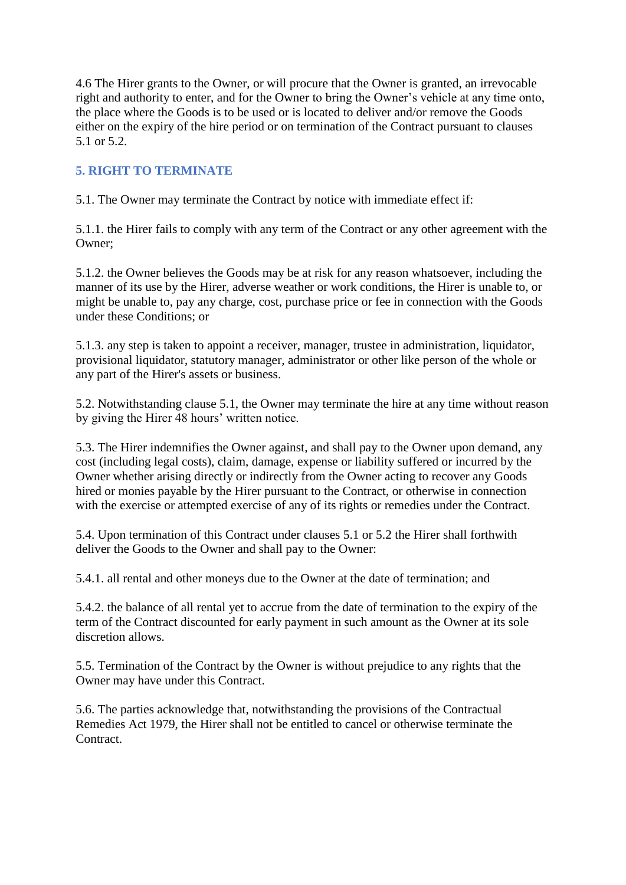4.6 The Hirer grants to the Owner, or will procure that the Owner is granted, an irrevocable right and authority to enter, and for the Owner to bring the Owner's vehicle at any time onto, the place where the Goods is to be used or is located to deliver and/or remove the Goods either on the expiry of the hire period or on termination of the Contract pursuant to clauses 5.1 or 5.2.

# **5. RIGHT TO TERMINATE**

5.1. The Owner may terminate the Contract by notice with immediate effect if:

5.1.1. the Hirer fails to comply with any term of the Contract or any other agreement with the Owner;

5.1.2. the Owner believes the Goods may be at risk for any reason whatsoever, including the manner of its use by the Hirer, adverse weather or work conditions, the Hirer is unable to, or might be unable to, pay any charge, cost, purchase price or fee in connection with the Goods under these Conditions; or

5.1.3. any step is taken to appoint a receiver, manager, trustee in administration, liquidator, provisional liquidator, statutory manager, administrator or other like person of the whole or any part of the Hirer's assets or business.

5.2. Notwithstanding clause 5.1, the Owner may terminate the hire at any time without reason by giving the Hirer 48 hours' written notice.

5.3. The Hirer indemnifies the Owner against, and shall pay to the Owner upon demand, any cost (including legal costs), claim, damage, expense or liability suffered or incurred by the Owner whether arising directly or indirectly from the Owner acting to recover any Goods hired or monies payable by the Hirer pursuant to the Contract, or otherwise in connection with the exercise or attempted exercise of any of its rights or remedies under the Contract.

5.4. Upon termination of this Contract under clauses 5.1 or 5.2 the Hirer shall forthwith deliver the Goods to the Owner and shall pay to the Owner:

5.4.1. all rental and other moneys due to the Owner at the date of termination; and

5.4.2. the balance of all rental yet to accrue from the date of termination to the expiry of the term of the Contract discounted for early payment in such amount as the Owner at its sole discretion allows.

5.5. Termination of the Contract by the Owner is without prejudice to any rights that the Owner may have under this Contract.

5.6. The parties acknowledge that, notwithstanding the provisions of the Contractual Remedies Act 1979, the Hirer shall not be entitled to cancel or otherwise terminate the Contract.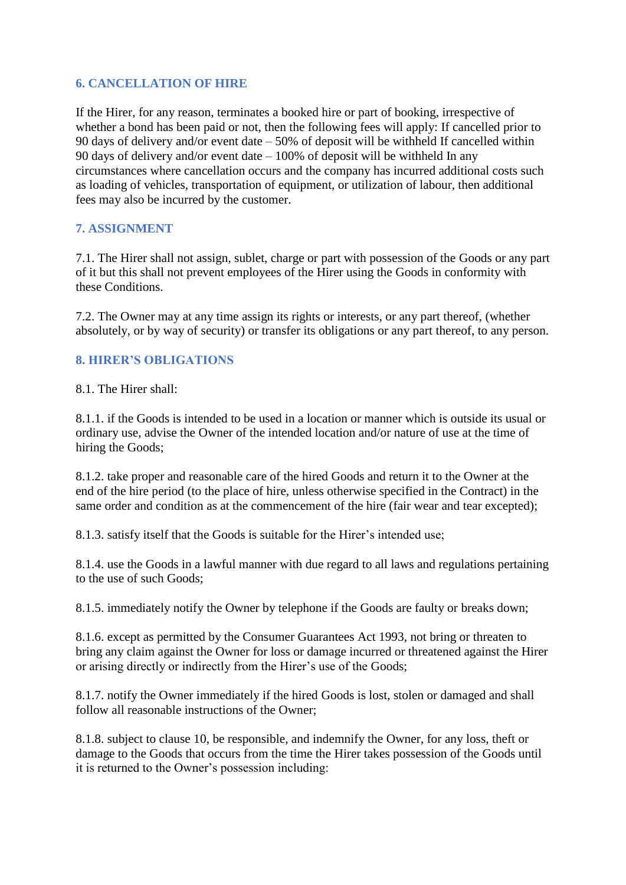## **6. CANCELLATION OF HIRE**

If the Hirer, for any reason, terminates a booked hire or part of booking, irrespective of whether a bond has been paid or not, then the following fees will apply: If cancelled prior to 90 days of delivery and/or event date – 50% of deposit will be withheld If cancelled within 90 days of delivery and/or event date – 100% of deposit will be withheld In any circumstances where cancellation occurs and the company has incurred additional costs such as loading of vehicles, transportation of equipment, or utilization of labour, then additional fees may also be incurred by the customer.

# **7. ASSIGNMENT**

7.1. The Hirer shall not assign, sublet, charge or part with possession of the Goods or any part of it but this shall not prevent employees of the Hirer using the Goods in conformity with these Conditions.

7.2. The Owner may at any time assign its rights or interests, or any part thereof, (whether absolutely, or by way of security) or transfer its obligations or any part thereof, to any person.

# **8. HIRER'S OBLIGATIONS**

8.1. The Hirer shall:

8.1.1. if the Goods is intended to be used in a location or manner which is outside its usual or ordinary use, advise the Owner of the intended location and/or nature of use at the time of hiring the Goods;

8.1.2. take proper and reasonable care of the hired Goods and return it to the Owner at the end of the hire period (to the place of hire, unless otherwise specified in the Contract) in the same order and condition as at the commencement of the hire (fair wear and tear excepted);

8.1.3. satisfy itself that the Goods is suitable for the Hirer's intended use;

8.1.4. use the Goods in a lawful manner with due regard to all laws and regulations pertaining to the use of such Goods;

8.1.5. immediately notify the Owner by telephone if the Goods are faulty or breaks down;

8.1.6. except as permitted by the Consumer Guarantees Act 1993, not bring or threaten to bring any claim against the Owner for loss or damage incurred or threatened against the Hirer or arising directly or indirectly from the Hirer's use of the Goods;

8.1.7. notify the Owner immediately if the hired Goods is lost, stolen or damaged and shall follow all reasonable instructions of the Owner;

8.1.8. subject to clause 10, be responsible, and indemnify the Owner, for any loss, theft or damage to the Goods that occurs from the time the Hirer takes possession of the Goods until it is returned to the Owner's possession including: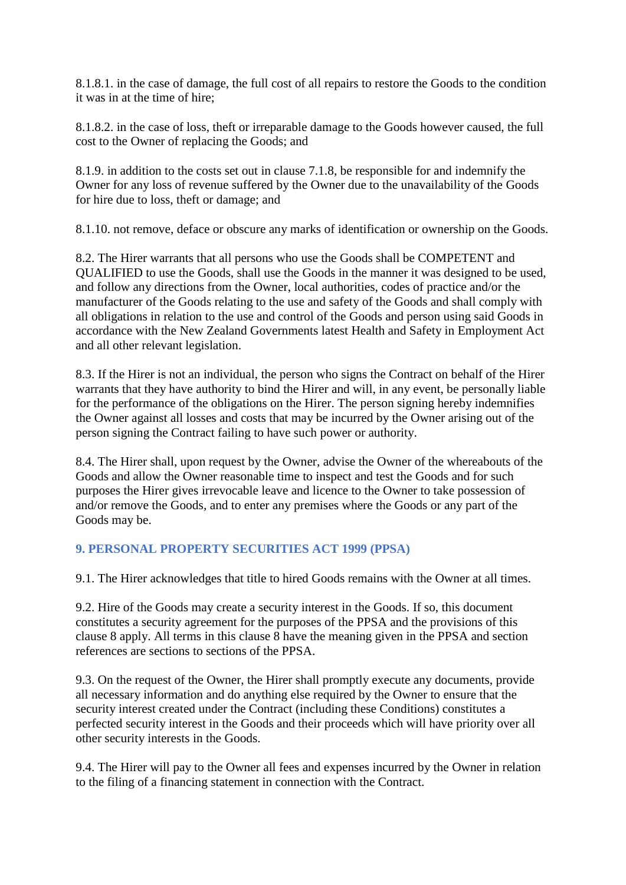8.1.8.1. in the case of damage, the full cost of all repairs to restore the Goods to the condition it was in at the time of hire;

8.1.8.2. in the case of loss, theft or irreparable damage to the Goods however caused, the full cost to the Owner of replacing the Goods; and

8.1.9. in addition to the costs set out in clause 7.1.8, be responsible for and indemnify the Owner for any loss of revenue suffered by the Owner due to the unavailability of the Goods for hire due to loss, theft or damage; and

8.1.10. not remove, deface or obscure any marks of identification or ownership on the Goods.

8.2. The Hirer warrants that all persons who use the Goods shall be COMPETENT and QUALIFIED to use the Goods, shall use the Goods in the manner it was designed to be used, and follow any directions from the Owner, local authorities, codes of practice and/or the manufacturer of the Goods relating to the use and safety of the Goods and shall comply with all obligations in relation to the use and control of the Goods and person using said Goods in accordance with the New Zealand Governments latest Health and Safety in Employment Act and all other relevant legislation.

8.3. If the Hirer is not an individual, the person who signs the Contract on behalf of the Hirer warrants that they have authority to bind the Hirer and will, in any event, be personally liable for the performance of the obligations on the Hirer. The person signing hereby indemnifies the Owner against all losses and costs that may be incurred by the Owner arising out of the person signing the Contract failing to have such power or authority.

8.4. The Hirer shall, upon request by the Owner, advise the Owner of the whereabouts of the Goods and allow the Owner reasonable time to inspect and test the Goods and for such purposes the Hirer gives irrevocable leave and licence to the Owner to take possession of and/or remove the Goods, and to enter any premises where the Goods or any part of the Goods may be.

# **9. PERSONAL PROPERTY SECURITIES ACT 1999 (PPSA)**

9.1. The Hirer acknowledges that title to hired Goods remains with the Owner at all times.

9.2. Hire of the Goods may create a security interest in the Goods. If so, this document constitutes a security agreement for the purposes of the PPSA and the provisions of this clause 8 apply. All terms in this clause 8 have the meaning given in the PPSA and section references are sections to sections of the PPSA.

9.3. On the request of the Owner, the Hirer shall promptly execute any documents, provide all necessary information and do anything else required by the Owner to ensure that the security interest created under the Contract (including these Conditions) constitutes a perfected security interest in the Goods and their proceeds which will have priority over all other security interests in the Goods.

9.4. The Hirer will pay to the Owner all fees and expenses incurred by the Owner in relation to the filing of a financing statement in connection with the Contract.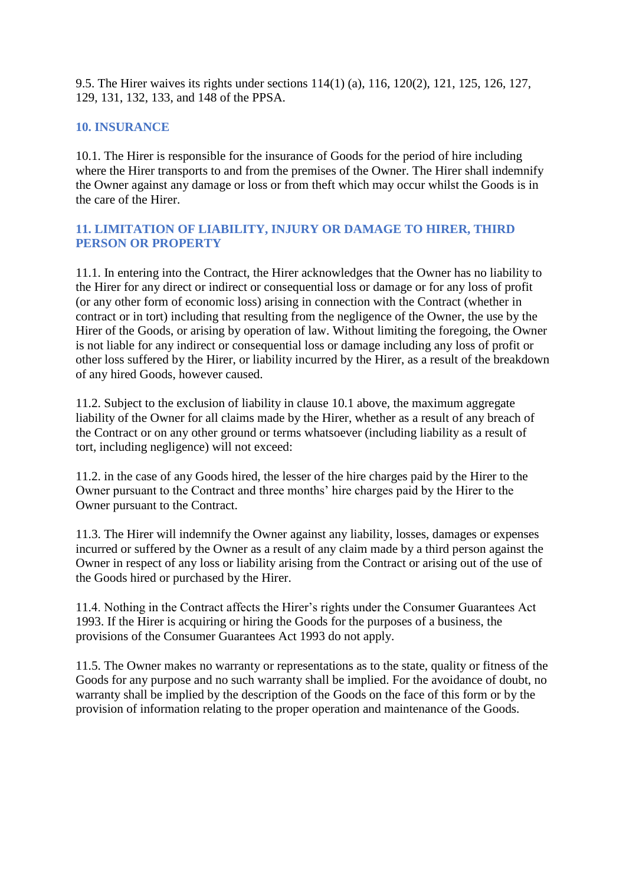9.5. The Hirer waives its rights under sections 114(1) (a), 116, 120(2), 121, 125, 126, 127, 129, 131, 132, 133, and 148 of the PPSA.

# **10. INSURANCE**

10.1. The Hirer is responsible for the insurance of Goods for the period of hire including where the Hirer transports to and from the premises of the Owner. The Hirer shall indemnify the Owner against any damage or loss or from theft which may occur whilst the Goods is in the care of the Hirer.

## **11. LIMITATION OF LIABILITY, INJURY OR DAMAGE TO HIRER, THIRD PERSON OR PROPERTY**

11.1. In entering into the Contract, the Hirer acknowledges that the Owner has no liability to the Hirer for any direct or indirect or consequential loss or damage or for any loss of profit (or any other form of economic loss) arising in connection with the Contract (whether in contract or in tort) including that resulting from the negligence of the Owner, the use by the Hirer of the Goods, or arising by operation of law. Without limiting the foregoing, the Owner is not liable for any indirect or consequential loss or damage including any loss of profit or other loss suffered by the Hirer, or liability incurred by the Hirer, as a result of the breakdown of any hired Goods, however caused.

11.2. Subject to the exclusion of liability in clause 10.1 above, the maximum aggregate liability of the Owner for all claims made by the Hirer, whether as a result of any breach of the Contract or on any other ground or terms whatsoever (including liability as a result of tort, including negligence) will not exceed:

11.2. in the case of any Goods hired, the lesser of the hire charges paid by the Hirer to the Owner pursuant to the Contract and three months' hire charges paid by the Hirer to the Owner pursuant to the Contract.

11.3. The Hirer will indemnify the Owner against any liability, losses, damages or expenses incurred or suffered by the Owner as a result of any claim made by a third person against the Owner in respect of any loss or liability arising from the Contract or arising out of the use of the Goods hired or purchased by the Hirer.

11.4. Nothing in the Contract affects the Hirer's rights under the Consumer Guarantees Act 1993. If the Hirer is acquiring or hiring the Goods for the purposes of a business, the provisions of the Consumer Guarantees Act 1993 do not apply.

11.5. The Owner makes no warranty or representations as to the state, quality or fitness of the Goods for any purpose and no such warranty shall be implied. For the avoidance of doubt, no warranty shall be implied by the description of the Goods on the face of this form or by the provision of information relating to the proper operation and maintenance of the Goods.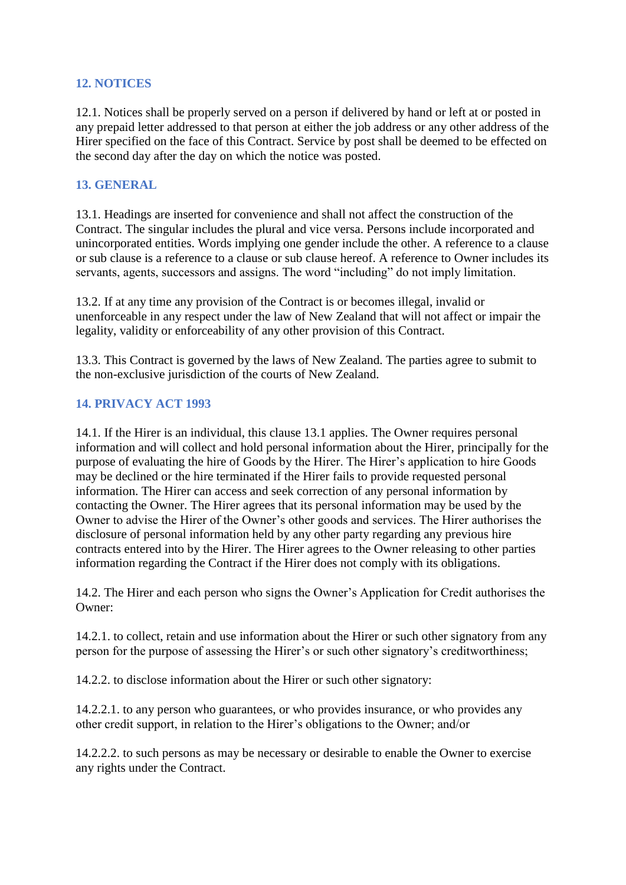#### **12. NOTICES**

12.1. Notices shall be properly served on a person if delivered by hand or left at or posted in any prepaid letter addressed to that person at either the job address or any other address of the Hirer specified on the face of this Contract. Service by post shall be deemed to be effected on the second day after the day on which the notice was posted.

# **13. GENERAL**

13.1. Headings are inserted for convenience and shall not affect the construction of the Contract. The singular includes the plural and vice versa. Persons include incorporated and unincorporated entities. Words implying one gender include the other. A reference to a clause or sub clause is a reference to a clause or sub clause hereof. A reference to Owner includes its servants, agents, successors and assigns. The word "including" do not imply limitation.

13.2. If at any time any provision of the Contract is or becomes illegal, invalid or unenforceable in any respect under the law of New Zealand that will not affect or impair the legality, validity or enforceability of any other provision of this Contract.

13.3. This Contract is governed by the laws of New Zealand. The parties agree to submit to the non-exclusive jurisdiction of the courts of New Zealand.

#### **14. PRIVACY ACT 1993**

14.1. If the Hirer is an individual, this clause 13.1 applies. The Owner requires personal information and will collect and hold personal information about the Hirer, principally for the purpose of evaluating the hire of Goods by the Hirer. The Hirer's application to hire Goods may be declined or the hire terminated if the Hirer fails to provide requested personal information. The Hirer can access and seek correction of any personal information by contacting the Owner. The Hirer agrees that its personal information may be used by the Owner to advise the Hirer of the Owner's other goods and services. The Hirer authorises the disclosure of personal information held by any other party regarding any previous hire contracts entered into by the Hirer. The Hirer agrees to the Owner releasing to other parties information regarding the Contract if the Hirer does not comply with its obligations.

14.2. The Hirer and each person who signs the Owner's Application for Credit authorises the Owner:

14.2.1. to collect, retain and use information about the Hirer or such other signatory from any person for the purpose of assessing the Hirer's or such other signatory's creditworthiness;

14.2.2. to disclose information about the Hirer or such other signatory:

14.2.2.1. to any person who guarantees, or who provides insurance, or who provides any other credit support, in relation to the Hirer's obligations to the Owner; and/or

14.2.2.2. to such persons as may be necessary or desirable to enable the Owner to exercise any rights under the Contract.